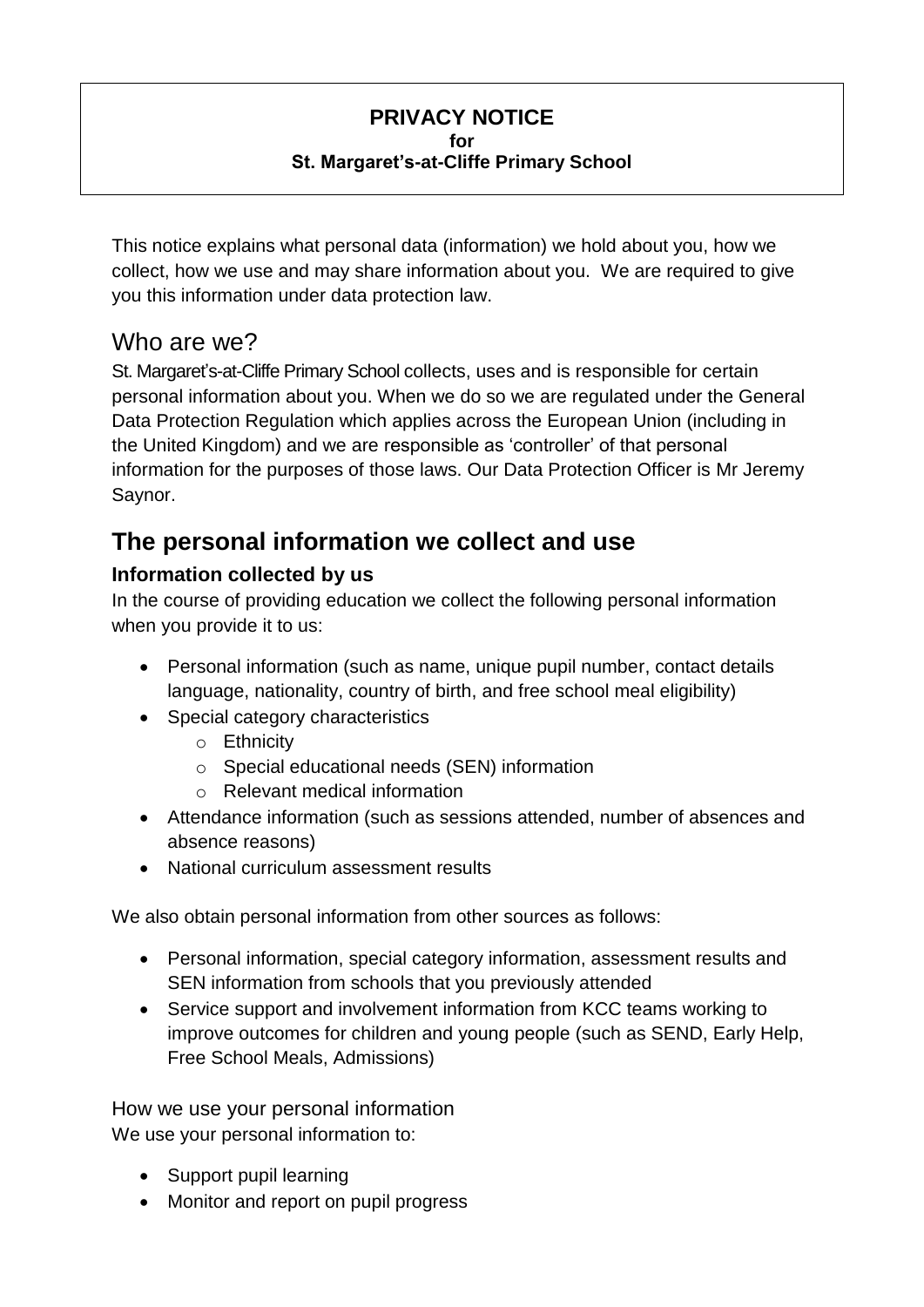#### **PRIVACY NOTICE for St. Margaret's-at-Cliffe Primary School**

This notice explains what personal data (information) we hold about you, how we collect, how we use and may share information about you. We are required to give you this information under data protection law.

### Who are we?

St. Margaret's-at-Cliffe Primary School collects, uses and is responsible for certain personal information about you. When we do so we are regulated under the General Data Protection Regulation which applies across the European Union (including in the United Kingdom) and we are responsible as 'controller' of that personal information for the purposes of those laws. Our Data Protection Officer is Mr Jeremy Saynor.

## **The personal information we collect and use**

### **Information collected by us**

In the course of providing education we collect the following personal information when you provide it to us:

- Personal information (such as name, unique pupil number, contact details language, nationality, country of birth, and free school meal eligibility)
- Special category characteristics
	- o Ethnicity
	- o Special educational needs (SEN) information
	- o Relevant medical information
- Attendance information (such as sessions attended, number of absences and absence reasons)
- National curriculum assessment results

We also obtain personal information from other sources as follows:

- Personal information, special category information, assessment results and SEN information from schools that you previously attended
- Service support and involvement information from KCC teams working to improve outcomes for children and young people (such as SEND, Early Help, Free School Meals, Admissions)

How we use your personal information We use your personal information to:

- Support pupil learning
- Monitor and report on pupil progress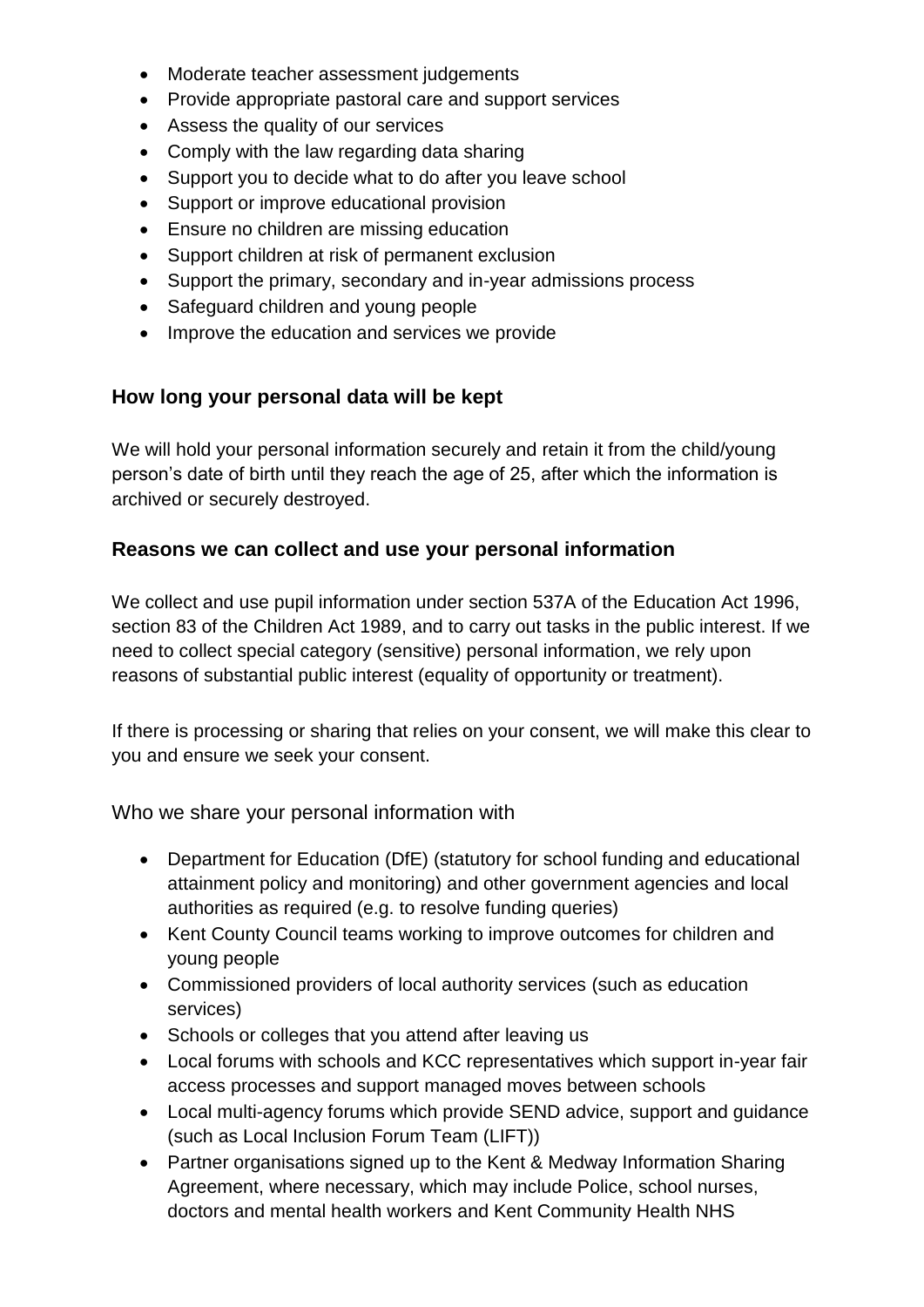- Moderate teacher assessment judgements
- Provide appropriate pastoral care and support services
- Assess the quality of our services
- Comply with the law regarding data sharing
- Support you to decide what to do after you leave school
- Support or improve educational provision
- Ensure no children are missing education
- Support children at risk of permanent exclusion
- Support the primary, secondary and in-year admissions process
- Safeguard children and young people
- Improve the education and services we provide

#### **How long your personal data will be kept**

We will hold your personal information securely and retain it from the child/young person's date of birth until they reach the age of 25, after which the information is archived or securely destroyed.

#### **Reasons we can collect and use your personal information**

We collect and use pupil information under section 537A of the Education Act 1996, section 83 of the Children Act 1989, and to carry out tasks in the public interest. If we need to collect special category (sensitive) personal information, we rely upon reasons of substantial public interest (equality of opportunity or treatment).

If there is processing or sharing that relies on your consent, we will make this clear to you and ensure we seek your consent.

Who we share your personal information with

- Department for Education (DfE) (statutory for school funding and educational attainment policy and monitoring) and other government agencies and local authorities as required (e.g. to resolve funding queries)
- Kent County Council teams working to improve outcomes for children and young people
- Commissioned providers of local authority services (such as education services)
- Schools or colleges that you attend after leaving us
- Local forums with schools and KCC representatives which support in-year fair access processes and support managed moves between schools
- Local multi-agency forums which provide SEND advice, support and guidance (such as Local Inclusion Forum Team (LIFT))
- Partner organisations signed up to the Kent & Medway Information Sharing Agreement, where necessary, which may include Police, school nurses, doctors and mental health workers and Kent Community Health NHS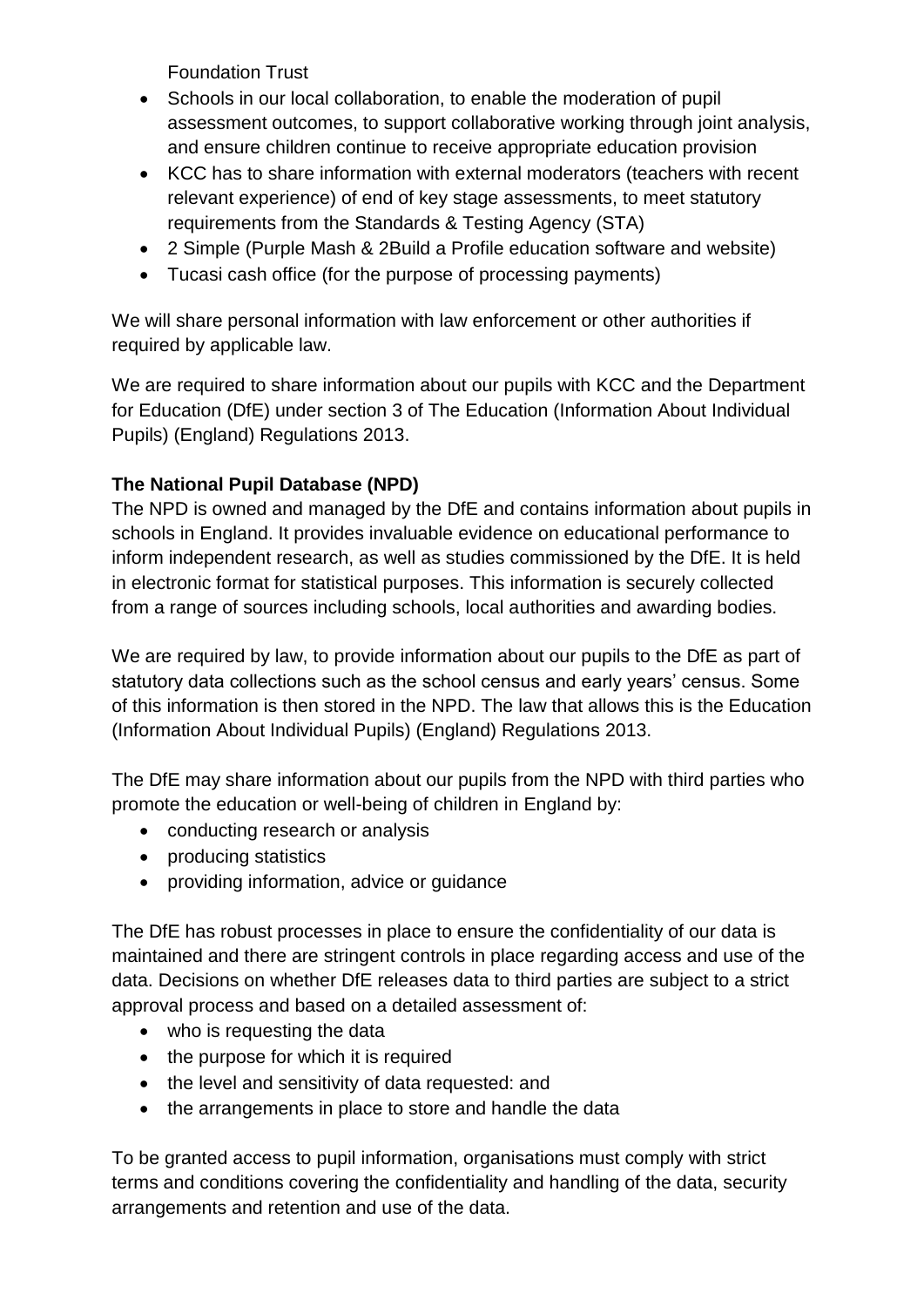Foundation Trust

- Schools in our local collaboration, to enable the moderation of pupil assessment outcomes, to support collaborative working through joint analysis, and ensure children continue to receive appropriate education provision
- KCC has to share information with external moderators (teachers with recent relevant experience) of end of key stage assessments, to meet statutory requirements from the Standards & Testing Agency (STA)
- 2 Simple (Purple Mash & 2Build a Profile education software and website)
- Tucasi cash office (for the purpose of processing payments)

We will share personal information with law enforcement or other authorities if required by applicable law.

We are required to share information about our pupils with KCC and the Department for Education (DfE) under section 3 of The Education (Information About Individual Pupils) (England) Regulations 2013.

#### **The National Pupil Database (NPD)**

The NPD is owned and managed by the DfE and contains information about pupils in schools in England. It provides invaluable evidence on educational performance to inform independent research, as well as studies commissioned by the DfE. It is held in electronic format for statistical purposes. This information is securely collected from a range of sources including schools, local authorities and awarding bodies.

We are required by law, to provide information about our pupils to the DfE as part of statutory data collections such as the school census and early years' census. Some of this information is then stored in the NPD. The law that allows this is the Education (Information About Individual Pupils) (England) Regulations 2013.

The DfE may share information about our pupils from the NPD with third parties who promote the education or well-being of children in England by:

- conducting research or analysis
- producing statistics
- providing information, advice or quidance

The DfE has robust processes in place to ensure the confidentiality of our data is maintained and there are stringent controls in place regarding access and use of the data. Decisions on whether DfE releases data to third parties are subject to a strict approval process and based on a detailed assessment of:

- who is requesting the data
- the purpose for which it is required
- the level and sensitivity of data requested: and
- the arrangements in place to store and handle the data

To be granted access to pupil information, organisations must comply with strict terms and conditions covering the confidentiality and handling of the data, security arrangements and retention and use of the data.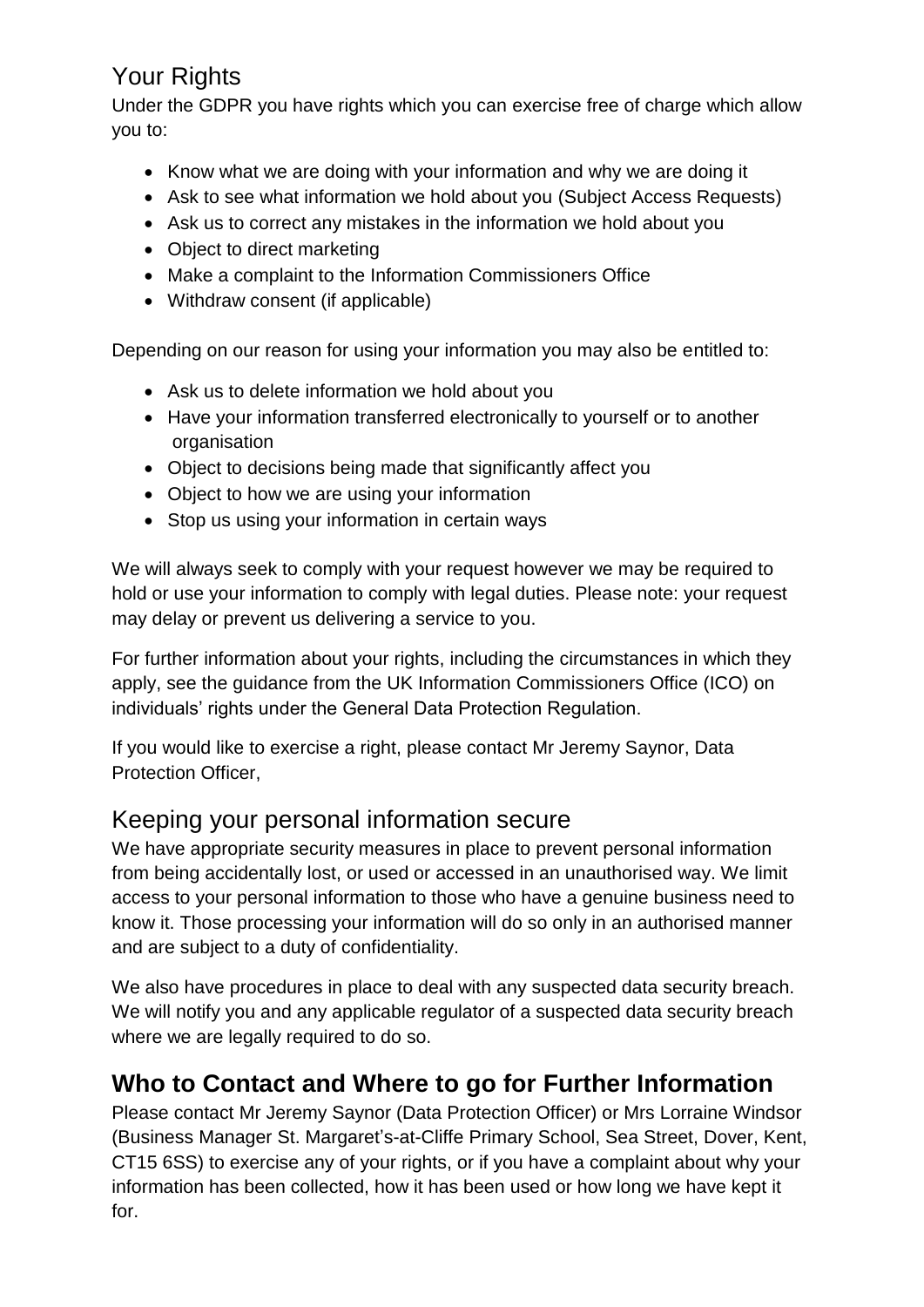## Your Rights

Under the GDPR you have rights which you can exercise free of charge which allow you to:

- Know what we are doing with your information and why we are doing it
- Ask to see what information we hold about you (Subject Access Requests)
- Ask us to correct any mistakes in the information we hold about you
- Object to direct marketing
- Make a complaint to the Information Commissioners Office
- Withdraw consent (if applicable)

Depending on our reason for using your information you may also be entitled to:

- Ask us to delete information we hold about you
- Have your information transferred electronically to yourself or to another organisation
- Object to decisions being made that significantly affect you
- Object to how we are using your information
- Stop us using your information in certain ways

We will always seek to comply with your request however we may be required to hold or use your information to comply with legal duties. Please note: your request may delay or prevent us delivering a service to you.

For further information about your rights, including the circumstances in which they apply, see the guidance from the UK Information Commissioners Office (ICO) on individuals' rights under the General Data Protection Regulation.

If you would like to exercise a right, please contact Mr Jeremy Saynor, Data Protection Officer,

### Keeping your personal information secure

We have appropriate security measures in place to prevent personal information from being accidentally lost, or used or accessed in an unauthorised way. We limit access to your personal information to those who have a genuine business need to know it. Those processing your information will do so only in an authorised manner and are subject to a duty of confidentiality.

We also have procedures in place to deal with any suspected data security breach. We will notify you and any applicable regulator of a suspected data security breach where we are legally required to do so.

# **Who to Contact and Where to go for Further Information**

Please contact Mr Jeremy Saynor (Data Protection Officer) or Mrs Lorraine Windsor (Business Manager St. Margaret's-at-Cliffe Primary School, Sea Street, Dover, Kent, CT15 6SS) to exercise any of your rights, or if you have a complaint about why your information has been collected, how it has been used or how long we have kept it for.